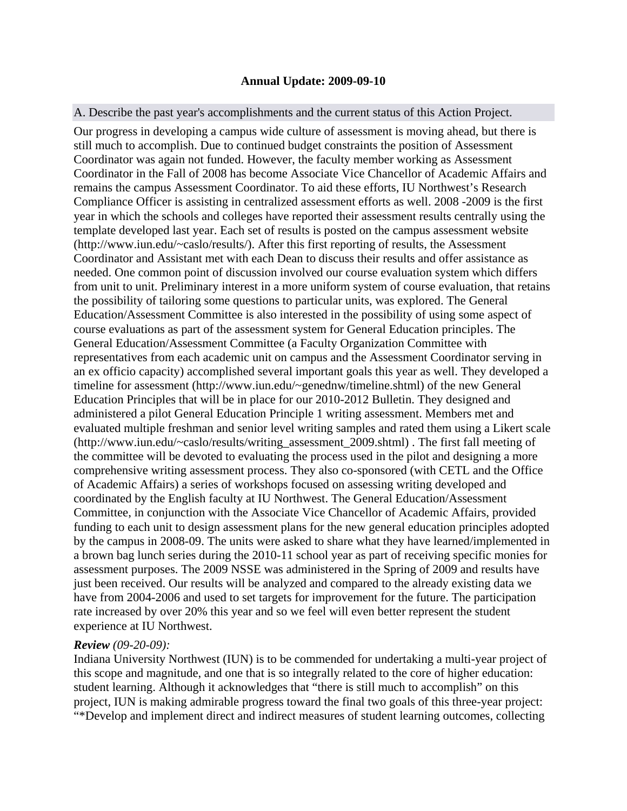### **Annual Update: 2009-09-10**

### A. Describe the past year's accomplishments and the current status of this Action Project.

Our progress in developing a campus wide culture of assessment is moving ahead, but there is still much to accomplish. Due to continued budget constraints the position of Assessment Coordinator was again not funded. However, the faculty member working as Assessment Coordinator in the Fall of 2008 has become Associate Vice Chancellor of Academic Affairs and remains the campus Assessment Coordinator. To aid these efforts, IU Northwest's Research Compliance Officer is assisting in centralized assessment efforts as well. 2008 -2009 is the first year in which the schools and colleges have reported their assessment results centrally using the template developed last year. Each set of results is posted on the campus assessment website (http://www.iun.edu/~caslo/results/). After this first reporting of results, the Assessment Coordinator and Assistant met with each Dean to discuss their results and offer assistance as needed. One common point of discussion involved our course evaluation system which differs from unit to unit. Preliminary interest in a more uniform system of course evaluation, that retains the possibility of tailoring some questions to particular units, was explored. The General Education/Assessment Committee is also interested in the possibility of using some aspect of course evaluations as part of the assessment system for General Education principles. The General Education/Assessment Committee (a Faculty Organization Committee with representatives from each academic unit on campus and the Assessment Coordinator serving in an ex officio capacity) accomplished several important goals this year as well. They developed a timeline for assessment (http://www.iun.edu/~genednw/timeline.shtml) of the new General Education Principles that will be in place for our 2010-2012 Bulletin. They designed and administered a pilot General Education Principle 1 writing assessment. Members met and evaluated multiple freshman and senior level writing samples and rated them using a Likert scale (http://www.iun.edu/~caslo/results/writing\_assessment\_2009.shtml) . The first fall meeting of the committee will be devoted to evaluating the process used in the pilot and designing a more comprehensive writing assessment process. They also co-sponsored (with CETL and the Office of Academic Affairs) a series of workshops focused on assessing writing developed and coordinated by the English faculty at IU Northwest. The General Education/Assessment Committee, in conjunction with the Associate Vice Chancellor of Academic Affairs, provided funding to each unit to design assessment plans for the new general education principles adopted by the campus in 2008-09. The units were asked to share what they have learned/implemented in a brown bag lunch series during the 2010-11 school year as part of receiving specific monies for assessment purposes. The 2009 NSSE was administered in the Spring of 2009 and results have just been received. Our results will be analyzed and compared to the already existing data we have from 2004-2006 and used to set targets for improvement for the future. The participation rate increased by over 20% this year and so we feel will even better represent the student experience at IU Northwest.

#### *Review (09-20-09):*

Indiana University Northwest (IUN) is to be commended for undertaking a multi-year project of this scope and magnitude, and one that is so integrally related to the core of higher education: student learning. Although it acknowledges that "there is still much to accomplish" on this project, IUN is making admirable progress toward the final two goals of this three-year project: "\*Develop and implement direct and indirect measures of student learning outcomes, collecting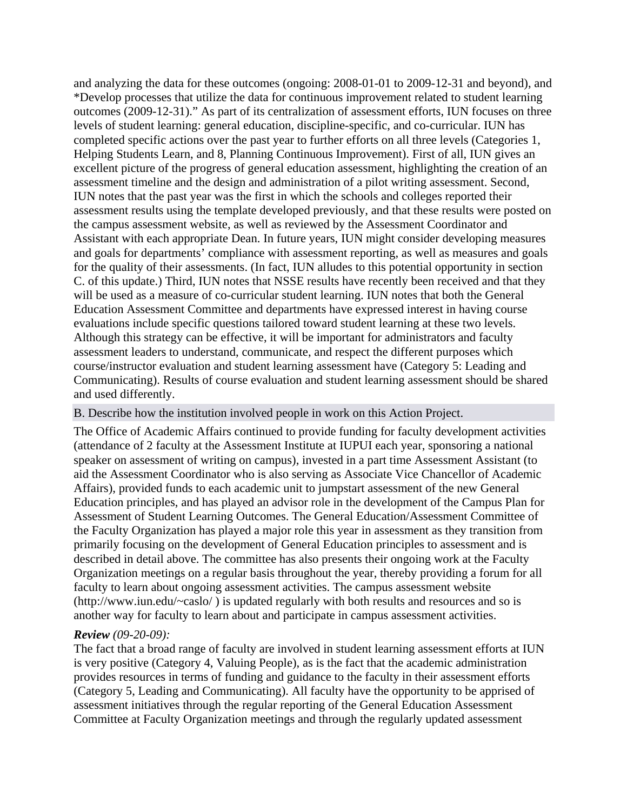and analyzing the data for these outcomes (ongoing: 2008-01-01 to 2009-12-31 and beyond), and \*Develop processes that utilize the data for continuous improvement related to student learning outcomes (2009-12-31)." As part of its centralization of assessment efforts, IUN focuses on three levels of student learning: general education, discipline-specific, and co-curricular. IUN has completed specific actions over the past year to further efforts on all three levels (Categories 1, Helping Students Learn, and 8, Planning Continuous Improvement). First of all, IUN gives an excellent picture of the progress of general education assessment, highlighting the creation of an assessment timeline and the design and administration of a pilot writing assessment. Second, IUN notes that the past year was the first in which the schools and colleges reported their assessment results using the template developed previously, and that these results were posted on the campus assessment website, as well as reviewed by the Assessment Coordinator and Assistant with each appropriate Dean. In future years, IUN might consider developing measures and goals for departments' compliance with assessment reporting, as well as measures and goals for the quality of their assessments. (In fact, IUN alludes to this potential opportunity in section C. of this update.) Third, IUN notes that NSSE results have recently been received and that they will be used as a measure of co-curricular student learning. IUN notes that both the General Education Assessment Committee and departments have expressed interest in having course evaluations include specific questions tailored toward student learning at these two levels. Although this strategy can be effective, it will be important for administrators and faculty assessment leaders to understand, communicate, and respect the different purposes which course/instructor evaluation and student learning assessment have (Category 5: Leading and Communicating). Results of course evaluation and student learning assessment should be shared and used differently.

#### B. Describe how the institution involved people in work on this Action Project.

The Office of Academic Affairs continued to provide funding for faculty development activities (attendance of 2 faculty at the Assessment Institute at IUPUI each year, sponsoring a national speaker on assessment of writing on campus), invested in a part time Assessment Assistant (to aid the Assessment Coordinator who is also serving as Associate Vice Chancellor of Academic Affairs), provided funds to each academic unit to jumpstart assessment of the new General Education principles, and has played an advisor role in the development of the Campus Plan for Assessment of Student Learning Outcomes. The General Education/Assessment Committee of the Faculty Organization has played a major role this year in assessment as they transition from primarily focusing on the development of General Education principles to assessment and is described in detail above. The committee has also presents their ongoing work at the Faculty Organization meetings on a regular basis throughout the year, thereby providing a forum for all faculty to learn about ongoing assessment activities. The campus assessment website (http://www.iun.edu/~caslo/ ) is updated regularly with both results and resources and so is another way for faculty to learn about and participate in campus assessment activities.

### *Review (09-20-09):*

The fact that a broad range of faculty are involved in student learning assessment efforts at IUN is very positive (Category 4, Valuing People), as is the fact that the academic administration provides resources in terms of funding and guidance to the faculty in their assessment efforts (Category 5, Leading and Communicating). All faculty have the opportunity to be apprised of assessment initiatives through the regular reporting of the General Education Assessment Committee at Faculty Organization meetings and through the regularly updated assessment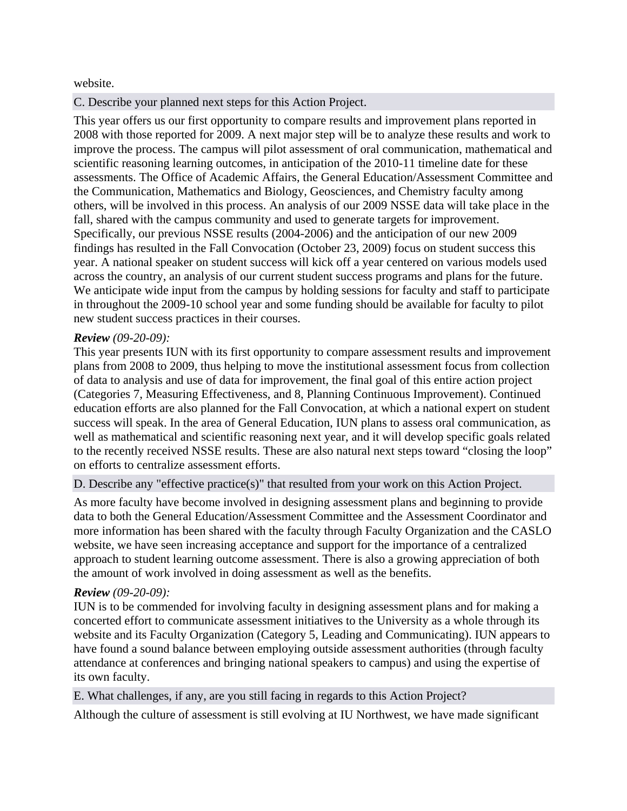## website.

# C. Describe your planned next steps for this Action Project.

This year offers us our first opportunity to compare results and improvement plans reported in 2008 with those reported for 2009. A next major step will be to analyze these results and work to improve the process. The campus will pilot assessment of oral communication, mathematical and scientific reasoning learning outcomes, in anticipation of the 2010-11 timeline date for these assessments. The Office of Academic Affairs, the General Education/Assessment Committee and the Communication, Mathematics and Biology, Geosciences, and Chemistry faculty among others, will be involved in this process. An analysis of our 2009 NSSE data will take place in the fall, shared with the campus community and used to generate targets for improvement. Specifically, our previous NSSE results (2004-2006) and the anticipation of our new 2009 findings has resulted in the Fall Convocation (October 23, 2009) focus on student success this year. A national speaker on student success will kick off a year centered on various models used across the country, an analysis of our current student success programs and plans for the future. We anticipate wide input from the campus by holding sessions for faculty and staff to participate in throughout the 2009-10 school year and some funding should be available for faculty to pilot new student success practices in their courses.

# *Review (09-20-09):*

This year presents IUN with its first opportunity to compare assessment results and improvement plans from 2008 to 2009, thus helping to move the institutional assessment focus from collection of data to analysis and use of data for improvement, the final goal of this entire action project (Categories 7, Measuring Effectiveness, and 8, Planning Continuous Improvement). Continued education efforts are also planned for the Fall Convocation, at which a national expert on student success will speak. In the area of General Education, IUN plans to assess oral communication, as well as mathematical and scientific reasoning next year, and it will develop specific goals related to the recently received NSSE results. These are also natural next steps toward "closing the loop" on efforts to centralize assessment efforts.

D. Describe any "effective practice(s)" that resulted from your work on this Action Project.

As more faculty have become involved in designing assessment plans and beginning to provide data to both the General Education/Assessment Committee and the Assessment Coordinator and more information has been shared with the faculty through Faculty Organization and the CASLO website, we have seen increasing acceptance and support for the importance of a centralized approach to student learning outcome assessment. There is also a growing appreciation of both the amount of work involved in doing assessment as well as the benefits.

## *Review (09-20-09):*

IUN is to be commended for involving faculty in designing assessment plans and for making a concerted effort to communicate assessment initiatives to the University as a whole through its website and its Faculty Organization (Category 5, Leading and Communicating). IUN appears to have found a sound balance between employing outside assessment authorities (through faculty attendance at conferences and bringing national speakers to campus) and using the expertise of its own faculty.

E. What challenges, if any, are you still facing in regards to this Action Project?

Although the culture of assessment is still evolving at IU Northwest, we have made significant